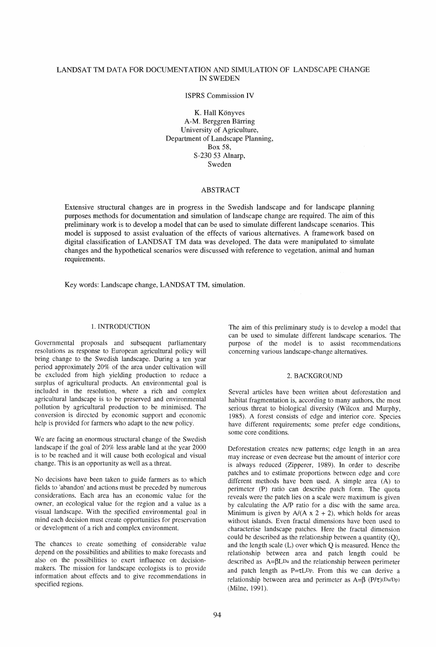# LANDSAT TM DATA FOR DOCUMENTATION AND SIMULATION OF LANDSCAPE CHANGE IN SWEDEN

ISPRS Commission IV

K. Hall Könyves A-M. Berggren Barring University of Agriculture, Department of Landscape Planning, Box 58, S-230 53 Alnarp, Sweden

## ABSTRACT

Extensive structural changes are in progress in the Swedish landscape and for landscape planning purposes methods for documentation and simulation of landscape change are required. The aim of this preliminary work is to develop a model that can be used to simulate different landscape scenarios. This model is' supposed to assist evaluation of the effects of various alternatives. A framework based on digital classification of LANDSAT TM data was developed. The data were manipulated to simulate changes and the hypothetical scenarios were discussed with reference to vegetation, animal and human requirements.

Key words: Landscape change, LANDSAT TM, simulation.

#### 1. INTRODUCTION

Governmental proposals and subsequent parliamentary resolutions as response to European agricultural policy will bring change to the Swedish landscape. During a ten year period approximately 20% of the area under cultivation will be excluded from high yielding production to reduce a surplus of agricultural products. An environmental goal is included in the resolution, where a rich and complex agricultural landscape is to be preserved and environmental pollution by agricultural production to be minimised. The conversion is directed by economic support and economic help is provided for farmers who adapt to the new policy.

We are facing an enormous structural change of the Swedish landscape if the goal of 20% less arable land at the year 2000 is to be reached and it will cause both ecological and visual change. This is an opportunity as well as a threat.

No decisions have been taken to guide farmers as to which fields to 'abandon' and actions must be preceded by numerous considerations. Each area has an economic value for the owner, an ecological value for the region and a value as a visual landscape. With the specified environmental goal in mind each decision must create opportunities for preservation or development of a rich and complex environment.

The chances to create something of considerable value depend on the possibilities and abilities to make forecasts and also on the possibilities to exert influence on decisionmakers. The mission for landscape ecologists is to provide information about effects and to give recommendations in specified regions.

The aim of this preliminary study is to develop a model that can be used to simulate different landscape scenarios. The purpose of the model is to assist recommendations concerning various landscape-change alternatives.

# 2. BACKGROUND

Several articles have been written about deforestation and habitat fragmentation is, according to many authors, the most serious threat to biological diversity (Wilcox and Murphy, 1985). A forest consists of edge and interior core. Species have different requirements; some prefer edge conditions, some core conditions.

Deforestation creates new patterns; edge length in an area may increase or even decrease but the amount of interior core is always reduced (Zipperer, 1989). In order to describe patches and to estimate proportions between edge and core different methods have been used. A simple area (A) to perimeter (P) ratio can describe patch form. The quota reveals were the patch lies on a scale were maximum is given by calculating the *NP* ratio for a disc with the same area. Minimum is given by  $A/(A \times 2 + 2)$ , which holds for areas without islands. Even fractal dimensions have been used to characterise landscape patches. Here the fractal dimension could be described as the relationship between a quantity (Q), and the length scale (L) over which Q is measured. Hence the relationship between area and patch length could be described as  $A = \beta L D^a$  and the relationship between perimeter and patch length as  $P = \tau L D_P$ . From this we can derive a relationship between area and perimeter as  $A=\beta$  (P/ $\tau$ )(Da/Dp) (Milne, 1991).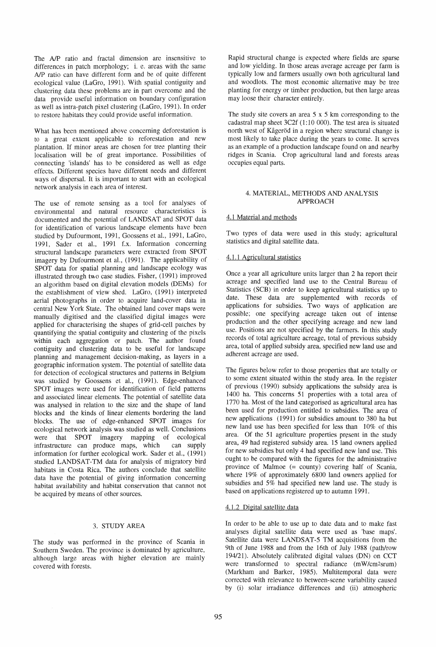The A/P ratio and fractal dimension are insensitive to differences in patch morphology; i. e. areas with the same *A/P* ratio can have different form and be of quite different ecological value (LaGro, 1991). With spatial contiguity and clustering data these problems are in part overcome and the data provide useful information on boundary configuration as well as intra-patch pixel clustering (LaGro, 1991). In order to restore habitats they could provide useful information.

What has been mentioned above concerning deforestation is to a great extent applicable to reforestation and new plantation. If minor areas are chosen for tree planting their localisation will be of great importance. Possibilities of connecting 'islands' has to be considered as well as edge effects. Different species have different needs and different ways of dispersaL It is important to start with an ecological network analysis in each area of interest.

The use of remote sensing as a tool for analyses of environmental and natural resource characteristics is documented and the potential of LANDSAT and SPOT data for identification of various landscape elements have been studied by Dufourmont, 1991, Goossens et aI., 1991, LaGro, 1991, Sader et al., 1991 f.x. Information concerning structural landscape parameters were extracted from SPOT imagery by Dufourmont et aI., (1991). The applicability of SPOT data for spatial planning and landscape ecology was illustrated through two case studies. Fisher,  $(1991)$  improved an algorithm based on digital elevation models (DEMs) for the establishment of view shed. LaGro, (1991) interpreted aerial photographs in order to acquire land-cover data in central New York State. The obtained land cover maps were manually digitised and the classified digital images were applied for characterising the shapes of grid-cell patches by quantifying the spatial contiguity and clustering of the pixels within each aggregation or patch. The author found contiguity and clustering data to be useful for landscape planning and management decision-making, as layers in a geographic information system. The potential of satellite data for detection of ecological structures and patterns in Belgium was studied by Goossens et al., (1991). Edge-enhanced SPOT images were used for identification of field patterns and associated linear elements. The potential of satellite data was analysed in relation to the size and the shape of land blocks and the kinds of linear elements bordering the land blocks. The use of edge-enhanced SPOT images for ecological network analysis was studied as well. Conclusions were that SPOT imagery mapping of ecological infrastructure can produce maps, which can supply information for further ecological work. Sader et aI., (1991) studied LANDSAT-TM data for analysis of migratory bird habitats in Costa Rica. The authors conclude that satellite data have the potential of giving information concerning habitat availability and habitat conservation that cannot not be acquired by means of other sources.

## 3. STUDY AREA

The study was performed in the province of Scania in Southern Sweden. The province is dominated by agriculture, although large areas with higher elevation are mainly covered with forests.

Rapid structural change is expected where fields are sparse and low yielding. In those areas average acreage per farm is typically low and farmers usually own both agricultural land and woodlots. The most economic alternative may be tree planting for energy or timber production, but then large areas may loose their character entirely.

The study site covers an area 5 x 5 km corresponding to the cadastral map sheet  $3C2f (1:10 000)$ . The test area is situated -north west of Kagerod in a region where structural change is most likely to take place during the years to come. It serves as an example of a production landscape found on and nearby ridges in Scania. Crop agricultural land and forests areas occupies equal parts.

## 4. MATERIAL, METHODS AND ANALYSIS APPROACH

#### 4.1 Material and methods

Two types of data were used in this study; agricultural statistics and digital satellite data.

### 4.1.1 Agricultural statistics

Once a year all agriculture units larger than 2 ha report their acreage and specified land use to the Central Bureau of Statistics (SCB) in order to keep agricultural statistics up to date. These data are supplemented with records of applications for subsidies. Two ways of application are possible; one specifying acreage taken out of intense production and the other specifying acreage, and new land use. Positions are not specified by the farmers. In. this study records of total agriculture acreage, total of previous subsidy area, total of applied subsidy area, specified new land use and adherent acreage are used.

The figures below refer to those properties that are totally or to some extent situated within the study area. In the register of previous (1990) subsidy applications the subsidy area is 1400 ha. This concerns 51 properties with a total area of 1770 ha. Most of the land categorised as agricultural area has been used for production entitled to subsidies. The area of new applications (1991) for subsidies amount to 380 ha but new land use has been specified for less than 10% of this area. Of the 51 agriculture properties present in the study area, 49 had registered subsidy area. 15 land owners applied for new subsidies but only 4 had specified new land use. This ought to be compared with the figures for the administrative province of Malmoe (= county) covering half of Scania, where 19% of approximately 6800 land owners applied for subsidies and 5% had specified new land use. The study is based on applications registered up to autumn 1991.

## 4.1.2 Digital satellite data

In order to be able to use up to date data and to make fast analyses digital satellite data were used as 'base maps'. Satellite data were LANDSAT-5 TM acquisitions from the 9th of June 1988 and from the 16th of July 1988 (path/row *194121).* Absolutely calibrated digital values (DN) on CCT were transformed to spectral radiance (mW/cm2srum) (Markham and Barker, 1985). Multitemporal data were corrected with relevance to between-scene variability caused by (i) solar irradiance differences and (ii) atmospheric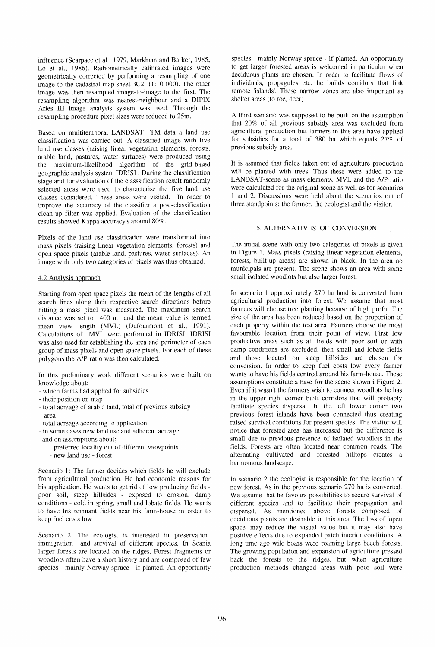influence (Scarpace et aI., 1979, Markham and Barker, 1985, Lo et aI., 1986). Radiometrically calibrated images were geometrically corrected by performing a resampling of one image to the cadastral map sheet 3C2f (1:10 000). The other image was then resampled image-to-image to the first. The resampling algorithm was nearest-neighbour and a DIPIX Aries III image analysis system was used. Through the resampling procedure pixel sizes were reduced to 25m.

Based on multitemporal LANDSAT TM data a land use classification was carried out. A classified image with five land use classes (raising linear vegetation elements, forests, arable land, pastures, water surfaces) were produced using the maximum-likelihood algorithm of the grid-based geographic analysis system IDRISI . During the classification stage and for evaluation of the classsification result randomly selected areas were used to characterise the five land use classes considered. These areas were visited. In order to improve the accuracy of the classifier a post-classification clean-up filter was applied. Evaluation of the classification results showed Kappa accuracy's around 80%.

Pixels of the land use classification were transformed into mass pixels (raising linear vegetation elements, forests) and open space pixels (arable land, pastures, water surfaces). An image with only two categories of pixels was thus obtained.

#### 4.2 Analysis approach

Starting from open space pixels the mean of the lengths of all search lines along their respective search directions before hitting a mass pixel was measured. The maximum search distance was set to 1400 m and the mean value is termed mean view length (MVL) (Dufourmont et aI., 1991). Calculations of MVL were performed in IDRISI. IDRISI was also used for establishing the area and perimeter of each group of mass pixels and open space pixels. For each of these polygons the NP-ratio was then calculated.

In this preliminary work different scenarios were built on knowledge about:

- which farms had applied for subsidies
- their position on map
- total acreage of arable land, total of previous subsidy area
- total acreage according to application
- in some cases new land use and adherent acreage
- and on assumptions about;
	- preferred locality out of different viewpoints
	- new land use forest

Scenario 1: The farmer decides which fields he will exclude from agricultural production. He had economic reasons for his application. He wants to get rid of low producing fields poor soil, steep hillsides - exposed to erosion, damp conditions - cold in spring, small and lobate fields. He wants to have his remnant fields near his farm-house in order to keep fuel costs low.

Scenario 2: The ecologist is interested in preservation, immigration and survival of different species. In Scania larger forests are located on the ridges. Forest fragments or woodlots often have a short history and are composed of few species - mainly Norway spruce - if planted. An opportunity species - mainly Norway spruce - if planted. An opportunity to get larger forested areas is welcomed in particular when deciduous plants are chosen. In order to facilitate flows of individuals, propagules etc. he builds corridors that link remote 'islands'. These narrow zones are also important as shelter areas (to roe, deer).

A third scenario was supposed to be built on the assumption that 20% of all previous subsidy area was excluded from agricultural production but farmers in this area have applied for subsidies for a total of 380 ha which equals  $27\%$  of previous subsidy area.

It is assumed that fields taken out of agriculture production will be planted with trees. Thus these were added to the LANDSAT -scene as mass elements. MVL and the NP-ratio were calculated for the original scene as well as for scenarios 1 and 2. Discussions were held about the scenarios out of three standpoints; the farmer, the ecologist and the visitor.

## 5. ALTERNATIVES OF CONVERSION

The initial scene with only two categories of pixels is given in Figure 1. Mass pixels (raising linear vegetation elements, forests, built-up areas) are shown in black. In the area no municipals are present. The scene shows an area with some small isolated woodlots but also larger forest.

In scenario 1 approximately 270 ha land is converted from agricultural production into forest. We assume that most farmers will choose tree planting because of high profit. The size of the area has been reduced based on the proportion of each property within the test area. Farmers choose the most favourable location from their point of view. First low productive areas such as all fields with poor soil or with damp conditions are excluded, then small and lobate fields and those located on steep hillsides are chosen for conversion. In order to keep fuel costs low every farmer wants to have his fields centred around his farm-house. These assumptions constitute a base for the scene shown i Figure 2. Even if it wasn't the farmers wish to connect woodlots he has in the upper right corner built corridors that will probably facilitate species dispersal. In the left lower corner two previous forest islands have been connected thus creating raised survival conditions for present species. The visitor will notice that forested area has increased but the difference is small due to previous presence of isolated woodlots in the fields. Forests are often located near common roads. The alternating cultivated and forested hilltops creates a harmonious landscape.

In scenario 2 the ecologist is responsible for the location of new forest. As in the previous scenario 270 ha is converted. We assume that he favours possibilities to secure survival of different species and to facilitate their propagation and dispersal. As mentioned above forests composed of deciduous plants are desirable in this area. The loss of 'open space' may reduce the visual value but it may also have positive effects due to expanded patch interior conditions. A long time ago wild boars were roaming large beech forests. The growing population and expansion of agriculture pressed back the forests to the ridges, but when agriculture production methods changed areas with poor soil were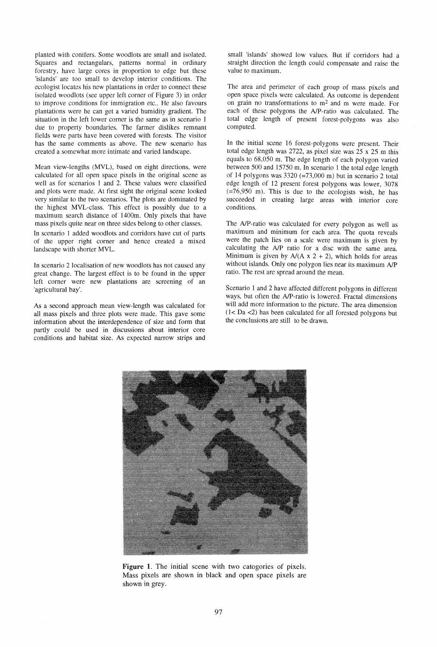planted with conifers. Some woodlots are small and isolated. Squares and rectangulars, patterns normal in ordinary forestry, have large cores in proportion to edge but these 'islands' are too small to develop interior conditions. The ecologist locates his new plantations in order to connect these isolated woodlots (see upper left corner of Figure 3) in order to improve conditions for immigration etc.. He also favours plantations were he can get a varied humidity gradient. The situation in the left lower corner is the same as in scenario 1 due to property boundaries. The farmer dislikes remnant fields were parts have been covered with forests. The visitor has the same comments as above. The new scenario has created a somewhat more intimate and varied landscape.

Mean view-lengths (MVL), based on eight directions, were calculated for all open space pixels in the original scene as well as for scenarios 1 and 2. These values were classified and plots were made. At first sight the original scene looked very similar to the two scenarios. The plots are dominated by the highest MVL-class. This effect is possibly due to a maximum search distance of 1400m. Only pixels that have mass pixels quite near on three sides belong to other classes.

In scenario 1 added woodlots and corridors have cut of parts of the upper right corner and hence created a mixed landscape with shorter MVL.

In scenario 2 localisation of new woodlots has not caused any great change. The largest effect is to be found in the upper left corner were new plantations are screening of an 'agricultural bay'.

As a second approach mean view-length was calculated for all mass pixels and three plots were made. This gave some information about the interdependence of size and form that partly could be used in discussions about interior core conditions and habitat size. As expected narrow strips and

small 'islands' showed low values. But if corridors had a straight direction the length could compensate and raise the value to maximum.

The area and perimeter of each group of mass pixels and open space pixels were calculated. As outcome is dependent on grain no transformations to  $m<sup>2</sup>$  and m were made. For each of these polygons the NP-ratio was calculated. The total edge length of present forest-polygons was also computed.

In the initial scene 16 forest-polygons were present. Their total edge length was 2722, as pixel size was 25 x 25 m this equals to 68,050 m. The edge length of each polygon varied between 500 and 15750 m. In scenario I the total edge length of 14 polygons was  $3320$  (=73,000 m) but in scenario 2 total edge length of 12 present forest polygons was lower, 3078  $(=76,950)$  m). This is due to the ecologists wish, he has succeeded in creating large areas with interior core conditions.

The NP-ratio was calculated for every polygon as well as maximum and minimum for each area. The quota reveals were the patch lies on a scale were maximum is given by calculating the *NP* ratio for a disc with the same area. Minimum is given by  $A/(A \times 2 + 2)$ , which holds for areas without islands. Only one polygon lies near its maximum *NP*  ratio. The rest are spread around the mean.

Scenario 1 and 2 have affected different polygons in different ways, but often the NP-ratio is lowered. Fractal dimensions will add more information to the picture. The area dimension  $(1 < 2a < 2)$  has been calculated for all forested polygons but the conclusions are still to be drawn.



Figure 1. The initial scene with two catogories of pixels. Mass pixels are shown in black and open space pixels are shown in grey.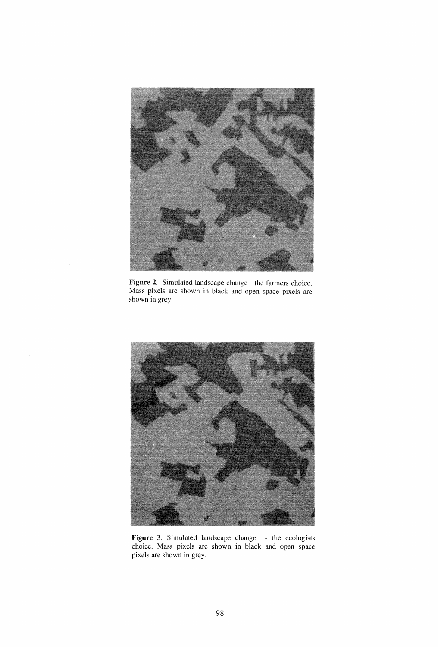

Figure 2. Simulated landscape change - the farmers choice. Mass pixels are shown in black and open space pixels are shown in grey.



Figure 3. Simulated landscape change - the ecologists choice. Mass pixels are shown **in** black and open space pixels are shown in grey.